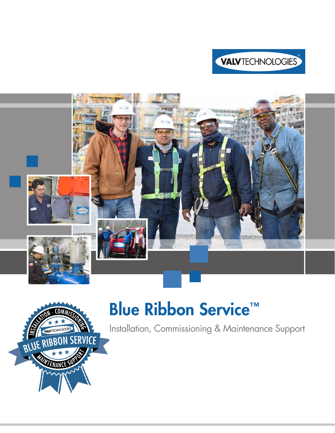





# Blue Ribbon Service<sup>™</sup>

Installation, Commissioning & Maintenance Support